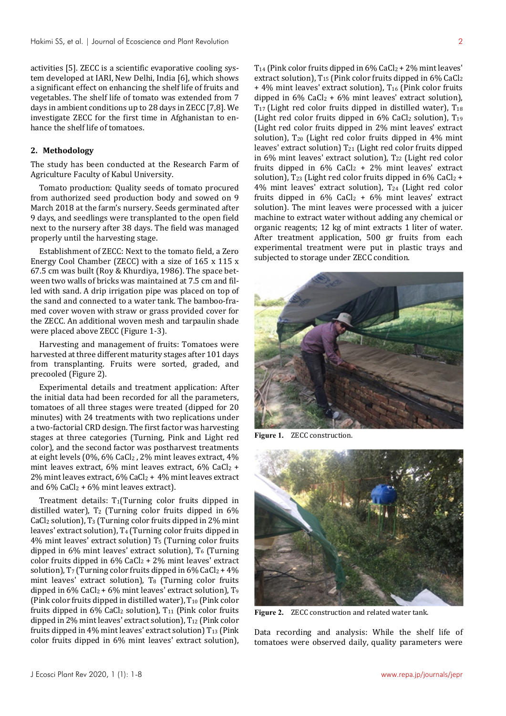activities [5]. ZECC is a scientific evaporative cooling system developed at IARI, New Delhi, India [6], which shows a significant effect on enhancing the shelf life of fruits and vegetables. The shelf life of tomato was extended from 7 days in ambient conditions up to 28 days in ZECC [7,8]. We investigate ZECC for the first time in Afghanistan to enhance the shelf life of tomatoes.

### **2. Methodology**

The study has been conducted at the Research Farm of Agriculture Faculty of Kabul University.

Tomato production: Quality seeds of tomato procured from authorized seed production body and sowed on 9 March 2018 at the farm's nursery. Seeds germinated after 9 days, and seedlings were transplanted to the open field next to the nursery after 38 days. The field was managed properly until the harvesting stage.

Establishment of ZECC: Next to the tomato field, a Zero Energy Cool Chamber (ZECC) with a size of 165 x 115 x 67.5 cm was built (Roy & Khurdiya, 1986). The space between two walls of bricks was maintained at 7.5 cm and filled with sand. A drip irrigation pipe was placed on top of the sand and connected to a water tank. The bamboo-framed cover woven with straw or grass provided cover for the ZECC. An additional woven mesh and tarpaulin shade were placed above ZECC (Figure 1-3).

Harvesting and management of fruits: Tomatoes were harvested at three different maturity stages after 101 days from transplanting. Fruits were sorted, graded, and precooled (Figure 2).

Experimental details and treatment application: After the initial data had been recorded for all the parameters, tomatoes of all three stages were treated (dipped for 20 minutes) with 24 treatments with two replications under a two-factorial CRD design. The first factor was harvesting stages at three categories (Turning, Pink and Light red color), and the second factor was postharvest treatments at eight levels (0%, 6% CaCl2 , 2% mint leaves extract, 4% mint leaves extract,  $6\%$  mint leaves extract,  $6\%$  CaCl<sub>2</sub> +  $2\%$  mint leaves extract, 6% CaCl<sub>2</sub> + 4% mint leaves extract and  $6\%$  CaCl<sub>2</sub> +  $6\%$  mint leaves extract).

Treatment details:  $T_1$ (Turning color fruits dipped in distilled water),  $T_2$  (Turning color fruits dipped in 6% CaCl2 solution), T3 (Turning color fruits dipped in 2% mint leaves' extract solution), T<sub>4</sub> (Turning color fruits dipped in 4% mint leaves' extract solution) T5 (Turning color fruits dipped in  $6\%$  mint leaves' extract solution),  $T_6$  (Turning color fruits dipped in  $6\%$  CaCl<sub>2</sub> + 2% mint leaves' extract solution), T<sub>7</sub> (Turning color fruits dipped in  $6\%$  CaCl<sub>2</sub> +  $4\%$ mint leaves' extract solution),  $T_8$  (Turning color fruits dipped in 6% CaCl2 + 6% mint leaves' extract solution), T<sup>9</sup> (Pink color fruits dipped in distilled water), T<sub>10</sub> (Pink color fruits dipped in  $6\%$  CaCl<sub>2</sub> solution),  $T_{11}$  (Pink color fruits dipped in 2% mint leaves' extract solution), T12 (Pink color fruits dipped in 4% mint leaves' extract solution)  $T_{13}$  (Pink color fruits dipped in 6% mint leaves' extract solution),

 $T_{14}$  (Pink color fruits dipped in 6% CaCl<sub>2</sub> + 2% mint leaves' extract solution), T<sub>15</sub> (Pink color fruits dipped in 6% CaCl<sub>2</sub>  $+$  4% mint leaves' extract solution),  $T_{16}$  (Pink color fruits dipped in  $6\%$  CaCl<sub>2</sub> +  $6\%$  mint leaves' extract solution),  $T_{17}$  (Light red color fruits dipped in distilled water),  $T_{18}$ (Light red color fruits dipped in  $6\%$  CaCl<sub>2</sub> solution), T<sub>19</sub> (Light red color fruits dipped in 2% mint leaves' extract solution),  $T_{20}$  (Light red color fruits dipped in 4% mint leaves' extract solution)  $T_{21}$  (Light red color fruits dipped in 6% mint leaves' extract solution),  $T_{22}$  (Light red color fruits dipped in  $6\%$  CaCl<sub>2</sub> + 2% mint leaves' extract solution), T<sub>23</sub> (Light red color fruits dipped in  $6\%$  CaCl<sub>2</sub> + 4% mint leaves' extract solution), T24 (Light red color fruits dipped in  $6\%$  CaCl<sub>2</sub> +  $6\%$  mint leaves' extract solution). The mint leaves were processed with a juicer machine to extract water without adding any chemical or organic reagents; 12 kg of mint extracts 1 liter of water. After treatment application, 500 gr fruits from each experimental treatment were put in plastic trays and subjected to storage under ZECC condition.



Figure 1. ZECC construction.



**Figure 2.** ZECC construction and related water tank.

Data recording and analysis: While the shelf life of tomatoes were observed daily, quality parameters were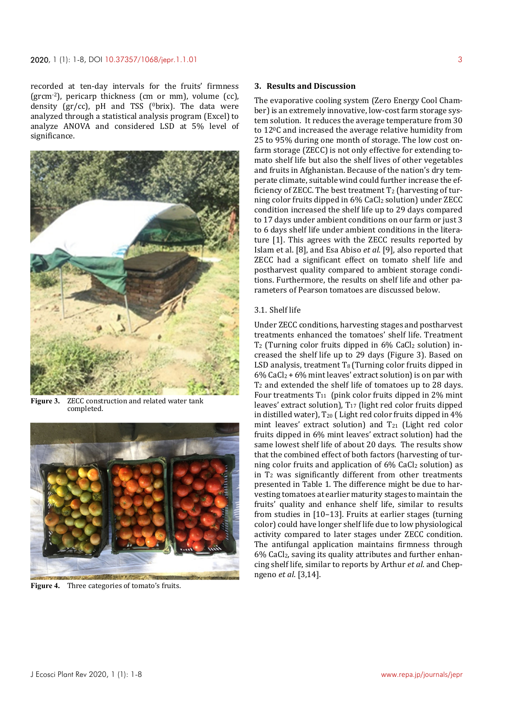recorded at ten-day intervals for the fruits' firmness (grcm-2), pericarp thickness (cm or mm), volume (cc), density ( $gr/cc$ ), pH and TSS ( $0$ brix). The data were analyzed through a statistical analysis program (Excel) to analyze ANOVA and considered LSD at 5% level of significance.



**Figure 3.** ZECC construction and related water tank completed.



**Figure 4.** Three categories of tomato's fruits.

### **3. Results and Discussion**

The evaporative cooling system (Zero Energy Cool Chamber) is an extremely innovative, low-cost farm storage system solution. It reduces the average temperature from 30 to 120C and increased the average relative humidity from 25 to 95% during one month of storage. The low cost onfarm storage (ZECC) is not only effective for extending tomato shelf life but also the shelf lives of other vegetables and fruits in Afghanistan. Because of the nation's dry temperate climate, suitable wind could further increase the efficiency of ZECC. The best treatment  $T_2$  (harvesting of turning color fruits dipped in 6% CaCl<sub>2</sub> solution) under ZECC condition increased the shelf life up to 29 days compared to 17 days under ambient conditions on our farm or just 3 to 6 days shelf life under ambient conditions in the literature [1]. This agrees with the ZECC results reported by Islam et al. [8], and Esa Abiso *et al.* [9], also reported that ZECC had a significant effect on tomato shelf life and postharvest quality compared to ambient storage conditions. Furthermore, the results on shelf life and other parameters of Pearson tomatoes are discussed below.

## 3.1. Shelf life

Under ZECC conditions, harvesting stages and postharvest treatments enhanced the tomatoes' shelf life. Treatment T2 (Turning color fruits dipped in 6% CaCl2 solution) increased the shelf life up to 29 days (Figure 3). Based on LSD analysis, treatment  $T_8$  (Turning color fruits dipped in  $6\%$  CaCl<sub>2</sub> +  $6\%$  mint leaves' extract solution) is on par with T2 and extended the shelf life of tomatoes up to 28 days. Four treatments  $T_{11}$  (pink color fruits dipped in 2% mint leaves' extract solution), T<sub>17</sub> (light red color fruits dipped in distilled water),  $T_{20}$  (Light red color fruits dipped in  $4\%$ mint leaves' extract solution) and T21 (Light red color fruits dipped in 6% mint leaves' extract solution) had the same lowest shelf life of about 20 days. The results show that the combined effect of both factors (harvesting of turning color fruits and application of  $6\%$  CaCl<sub>2</sub> solution) as in  $T_2$  was significantly different from other treatments presented in Table 1. The difference might be due to harvesting tomatoes at earlier maturity stages to maintain the fruits' quality and enhance shelf life, similar to results from studies in [10–13]. Fruits at earlier stages (turning color) could have longer shelf life due to low physiological activity compared to later stages under ZECC condition. The antifungal application maintains firmness through 6% CaCl2, saving its quality attributes and further enhancing shelf life, similar to reports by Arthur *et al*. and Chepngeno *et al*. [3,14].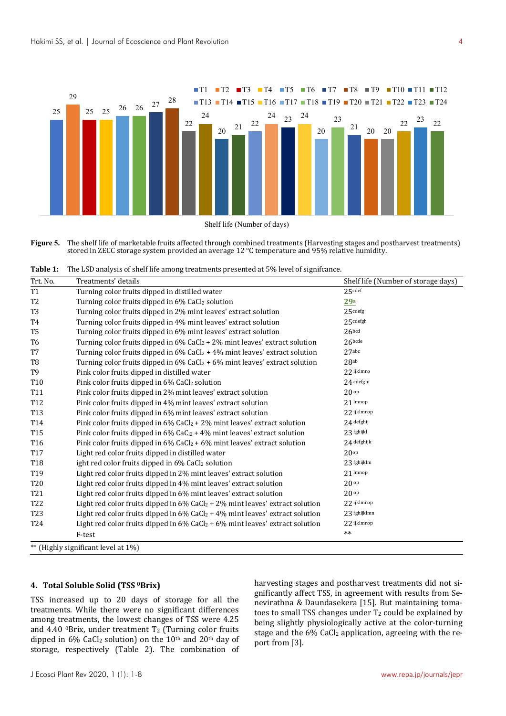

**Figure 5.** The shelf life of marketable fruits affected through combined treatments (Harvesting stages and postharvest treatments) stored in ZECC storage system provided an average 12 °C temperature and 95% relative humidity.

|  |  | Table 1: The LSD analysis of shelf life among treatments presented at 5% level of signifcance. |  |
|--|--|------------------------------------------------------------------------------------------------|--|
|--|--|------------------------------------------------------------------------------------------------|--|

| Trt. No.        | Treatments' details                                                                            | Shelf life (Number of storage days) |
|-----------------|------------------------------------------------------------------------------------------------|-------------------------------------|
| T <sub>1</sub>  | Turning color fruits dipped in distilled water                                                 | 25 <sub>cdef</sub>                  |
| T <sub>2</sub>  | Turning color fruits dipped in 6% CaCl2 solution                                               | 29a                                 |
| T <sub>3</sub>  | Turning color fruits dipped in 2% mint leaves' extract solution                                | 25 cdefg                            |
| T4              | Turning color fruits dipped in 4% mint leaves' extract solution                                | 25 cdefgh                           |
| T <sub>5</sub>  | Turning color fruits dipped in 6% mint leaves' extract solution                                | 26 <sub>bcd</sub>                   |
| T <sub>6</sub>  | Turning color fruits dipped in 6% CaCl <sub>2</sub> + 2% mint leaves' extract solution         | 26bcde                              |
| T7              | Turning color fruits dipped in 6% CaCl <sub>2</sub> + 4% mint leaves' extract solution         | 27abc                               |
| T <sub>8</sub>  | Turning color fruits dipped in $6\%$ CaCl <sub>2</sub> + $6\%$ mint leaves' extract solution   | 28ab                                |
| T <sub>9</sub>  | Pink color fruits dipped in distilled water                                                    | 22 ijklmno                          |
| T <sub>10</sub> | Pink color fruits dipped in 6% CaCl2 solution                                                  | 24 cdefghi                          |
| T <sub>11</sub> | Pink color fruits dipped in 2% mint leaves' extract solution                                   | 20 <sup>op</sup>                    |
| T <sub>12</sub> | Pink color fruits dipped in 4% mint leaves' extract solution                                   | 21 Imnop                            |
| T <sub>13</sub> | Pink color fruits dipped in 6% mint leaves' extract solution                                   | 22 ijklmnop                         |
| T <sub>14</sub> | Pink color fruits dipped in $6\%$ CaCl <sub>2</sub> + 2% mint leaves' extract solution         | 24 defghij                          |
| T <sub>15</sub> | Pink color fruits dipped in $6\%$ CaC <sub>12</sub> + 4% mint leaves' extract solution         | 23 fghijkl                          |
| T <sub>16</sub> | Pink color fruits dipped in $6\%$ CaCl <sub>2</sub> + $6\%$ mint leaves' extract solution      | 24 defghijk                         |
| T <sub>17</sub> | Light red color fruits dipped in distilled water                                               | 20 <sup>op</sup>                    |
| T <sub>18</sub> | ight red color fruits dipped in 6% CaCl2 solution                                              | 23 fghijklm                         |
| T19             | Light red color fruits dipped in 2% mint leaves' extract solution                              | 21 Imnop                            |
| <b>T20</b>      | Light red color fruits dipped in 4% mint leaves' extract solution                              | 20 <sup>op</sup>                    |
| T <sub>21</sub> | Light red color fruits dipped in 6% mint leaves' extract solution                              | 20 <sub>op</sub>                    |
| T <sub>22</sub> | Light red color fruits dipped in $6\%$ CaCl <sub>2</sub> + 2% mint leaves' extract solution    | 22 ijklmnop                         |
| T <sub>23</sub> | Light red color fruits dipped in $6\%$ CaCl <sub>2</sub> + $4\%$ mint leaves' extract solution | 23 fghijklmn                        |
| T <sub>24</sub> | Light red color fruits dipped in $6\%$ CaCl <sub>2</sub> + $6\%$ mint leaves' extract solution | 22 ijklmnop                         |
|                 | F-test                                                                                         | $***$                               |

(Highly significant level at  $1\%$ )

### **4. Total Soluble Solid (TSS 0Brix)**

TSS increased up to 20 days of storage for all the treatments. While there were no significant differences among treatments, the lowest changes of TSS were 4.25 and 4.40  ${}^{0}$ Brix, under treatment T<sub>2</sub> (Turning color fruits dipped in 6% CaCl<sub>2</sub> solution) on the 10<sup>th</sup> and 20<sup>th</sup> day of storage, respectively (Table 2). The combination of harvesting stages and postharvest treatments did not significantly affect TSS, in agreement with results from Senevirathna & Daundasekera [15]. But maintaining tomatoes to small TSS changes under  $T_2$  could be explained by being slightly physiologically active at the color-turning stage and the 6% CaCl2 application, agreeing with the report from [3].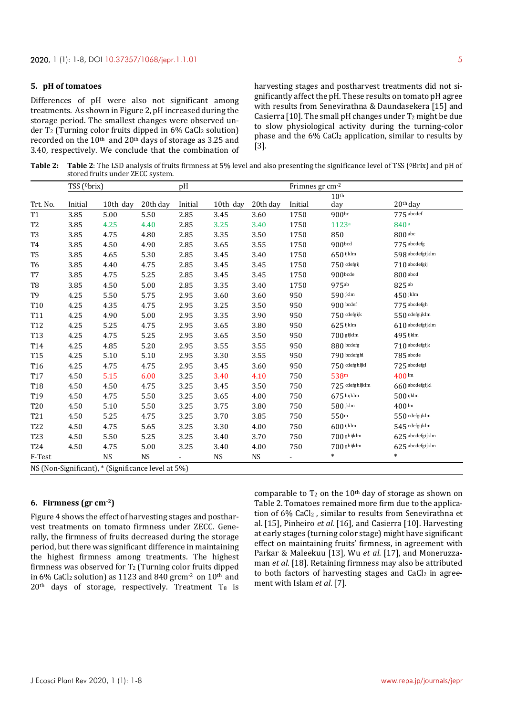### **5. pH of tomatoes**

Differences of pH were also not significant among treatments. As shown in Figure 2, pH increased during the storage period. The smallest changes were observed under  $T_2$  (Turning color fruits dipped in 6% CaCl<sub>2</sub> solution) recorded on the 10th and 20th days of storage as 3.25 and 3.40, respectively. We conclude that the combination of harvesting stages and postharvest treatments did not significantly affect the pH. These results on tomato pH agree with results from Senevirathna & Daundasekera [15] and Casierra [10]. The small pH changes under  $T_2$  might be due to slow physiological activity during the turning-color phase and the 6% CaCl2 application, similar to results by [3].

Table 2: Table 2: The LSD analysis of fruits firmness at 5% level and also presenting the significance level of TSS (<sup>0</sup>Brix) and pH of stored fruits under ZECC system.

|                 | TSS ( <sup>0</sup> brix) |                                                    |          | pH      |           |           | Frimnes gr cm-2          |                         |                      |
|-----------------|--------------------------|----------------------------------------------------|----------|---------|-----------|-----------|--------------------------|-------------------------|----------------------|
| Trt. No.        | Initial                  | 10th day                                           | 20th day | Initial | 10th day  | 20th day  | Initial                  | 10 <sup>th</sup><br>day | 20 <sup>th</sup> day |
| T <sub>1</sub>  | 3.85                     | 5.00                                               | 5.50     | 2.85    | 3.45      | 3.60      | 1750                     | 900 <sub>bc</sub>       | 775 abcdef           |
| T <sub>2</sub>  | 3.85                     | 4.25                                               | 4.40     | 2.85    | 3.25      | 3.40      | 1750                     | 1123a                   | 840a                 |
| T <sub>3</sub>  | 3.85                     | 4.75                                               | 4.80     | 2.85    | 3.35      | 3.50      | 1750                     | 850                     | $800$ abc            |
| T <sub>4</sub>  | 3.85                     | 4.50                                               | 4.90     | 2.85    | 3.65      | 3.55      | 1750                     | 900bcd                  | 775 abcdefg          |
| T <sub>5</sub>  | 3.85                     | 4.65                                               | 5.30     | 2.85    | 3.45      | 3.40      | 1750                     | $650$ ijklm             | 598 abcdefgijklm     |
| T <sub>6</sub>  | 3.85                     | 4.40                                               | 4.75     | 2.85    | 3.45      | 3.45      | 1750                     | 750 cdefgij             | 710 abcdefgij        |
| T7              | 3.85                     | 4.75                                               | 5.25     | 2.85    | 3.45      | 3.45      | 1750                     | 900bcde                 | 800 abcd             |
| T <sub>8</sub>  | 3.85                     | 4.50                                               | 5.00     | 2.85    | 3.35      | 3.40      | 1750                     | 975ab                   | 825 ab               |
| T9              | 4.25                     | 5.50                                               | 5.75     | 2.95    | 3.60      | 3.60      | 950                      | 590 jklm                | $450$ jklm           |
| T10             | 4.25                     | 4.35                                               | 4.75     | 2.95    | 3.25      | 3.50      | 950                      | 900 bcdef               | 775 abcdefgh         |
| T11             | 4.25                     | 4.90                                               | 5.00     | 2.95    | 3.35      | 3.90      | 950                      | 750 cdefgijk            | 550 cdefgijklm       |
| T12             | 4.25                     | 5.25                                               | 4.75     | 2.95    | 3.65      | 3.80      | 950                      | $625$ ijklm             | 610 abcdefgijklm     |
| T13             | 4.25                     | 4.75                                               | 5.25     | 2.95    | 3.65      | 3.50      | 950                      | 700 gijklm              | 495 ijklm            |
| T14             | 4.25                     | 4.85                                               | 5.20     | 2.95    | 3.55      | 3.55      | 950                      | 880 bcdefg              | 710 abcdefgijk       |
| T15             | 4.25                     | 5.10                                               | 5.10     | 2.95    | 3.30      | 3.55      | 950                      | 790 bcdefghi            | $785$ abcde          |
| T <sub>16</sub> | 4.25                     | 4.75                                               | 4.75     | 2.95    | 3.45      | 3.60      | 950                      | 750 cdefghijkl          | 725 abcdefgi         |
| T17             | 4.50                     | 5.15                                               | 6.00     | 3.25    | 3.40      | 4.10      | 750                      | 538m                    | $400 \text{ lm}$     |
| T18             | 4.50                     | 4.50                                               | 4.75     | 3.25    | 3.45      | 3.50      | 750                      | 725 cdefghijklm         | 660 abcdefgijkl      |
| T <sub>19</sub> | 4.50                     | 4.75                                               | 5.50     | 3.25    | 3.65      | 4.00      | 750                      | $675$ hijklm            | 500 ijklm            |
| T20             | 4.50                     | 5.10                                               | 5.50     | 3.25    | 3.75      | 3.80      | 750                      | 580 jklm                | $400 \text{ lm}$     |
| T21             | 4.50                     | 5.25                                               | 4.75     | 3.25    | 3.70      | 3.85      | 750                      | 550m                    | 550 cdefgijklm       |
| T22             | 4.50                     | 4.75                                               | 5.65     | 3.25    | 3.30      | 4.00      | 750                      | $600$ ijklm             | 545 cdefgijklm       |
| T23             | 4.50                     | 5.50                                               | 5.25     | 3.25    | 3.40      | 3.70      | 750                      | 700 ghijklm             | 625 abcdefgijklm     |
| T24             | 4.50                     | 4.75                                               | 5.00     | 3.25    | 3.40      | 4.00      | 750                      | 700 ghijklm             | 625 abcdefgijklm     |
| F-Test          |                          | <b>NS</b>                                          | NS       |         | <b>NS</b> | <b>NS</b> | $\overline{\phantom{a}}$ | $\ast$                  | $\ast$               |
|                 |                          | NS (Non-Significant), * (Significance level at 5%) |          |         |           |           |                          |                         |                      |

## **6. Firmness (gr cm-2)**

Figure 4 shows the effect of harvesting stages and postharvest treatments on tomato firmness under ZECC. Generally, the firmness of fruits decreased during the storage period, but there was significant difference in maintaining the highest firmness among treatments. The highest firmness was observed for  $T_2$  (Turning color fruits dipped in 6% CaCl<sub>2</sub> solution) as 1123 and 840 grcm<sup>-2</sup> on  $10<sup>th</sup>$  and  $20<sup>th</sup>$  days of storage, respectively. Treatment T<sub>8</sub> is comparable to  $T_2$  on the 10<sup>th</sup> day of storage as shown on Table 2. Tomatoes remained more firm due to the application of 6% CaCl<sub>2</sub>, similar to results from Senevirathna et al. [15], Pinheiro *et al*. [16], and Casierra [10]. Harvesting at early stages (turning color stage) might have significant effect on maintaining fruits' firmness, in agreement with Parkar & Maleekuu [13], Wu *et al*. [17], and Moneruzzaman *et al*. [18]. Retaining firmness may also be attributed to both factors of harvesting stages and CaCl2 in agreement with Islam *et al*. [7].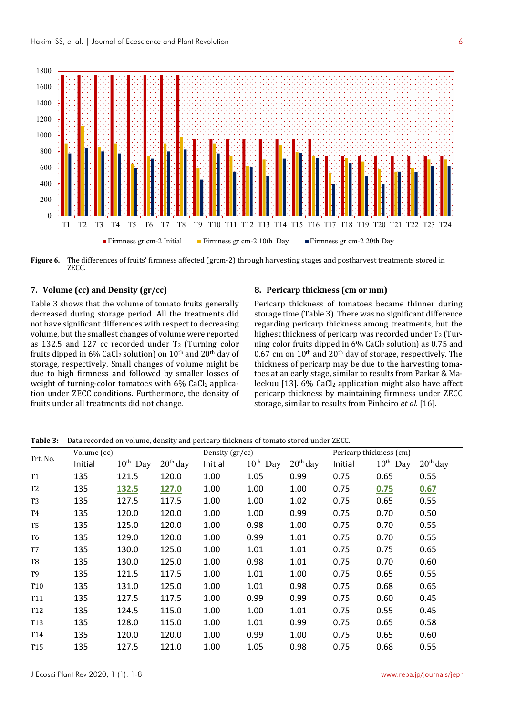

**Figure 6.** The differences of fruits' firmness affected (grcm-2) through harvesting stages and postharvest treatments stored in ZECC.

# **7. Volume (cc) and Density (gr/cc)**

Table 3 shows that the volume of tomato fruits generally decreased during storage period. All the treatments did not have significant differences with respect to decreasing volume, but the smallest changes of volume were reported as 132.5 and 127 cc recorded under  $T_2$  (Turning color fruits dipped in 6% CaCl<sub>2</sub> solution) on  $10<sup>th</sup>$  and  $20<sup>th</sup>$  day of storage, respectively. Small changes of volume might be due to high firmness and followed by smaller losses of weight of turning-color tomatoes with 6% CaCl2 application under ZECC conditions. Furthermore, the density of fruits under all treatments did not change.

### **8. Pericarp thickness (cm or mm)**

Pericarp thickness of tomatoes became thinner during storage time (Table 3). There was no significant difference regarding pericarp thickness among treatments, but the highest thickness of pericarp was recorded under  $T_2$  (Turning color fruits dipped in  $6\%$  CaCl<sub>2</sub> solution) as 0.75 and 0.67 cm on 10th and 20th day of storage, respectively. The thickness of pericarp may be due to the harvesting tomatoes at an early stage, similar to results from Parkar & Maleekuu [13]. 6% CaCl2 application might also have affect pericarp thickness by maintaining firmness under ZECC storage, similar to results from Pinheiro *et al.* [16].

| Trt. No.        | Volume (cc) |               |            | Density (gr/cc) |               |            | Pericarp thickness (cm) |               |            |
|-----------------|-------------|---------------|------------|-----------------|---------------|------------|-------------------------|---------------|------------|
|                 | Initial     | $10^{th}$ Day | $20th$ day | Initial         | $10^{th}$ Day | $20th$ day | Initial                 | $10^{th}$ Day | $20th$ day |
| <b>T1</b>       | 135         | 121.5         | 120.0      | 1.00            | 1.05          | 0.99       | 0.75                    | 0.65          | 0.55       |
| T <sub>2</sub>  | 135         | 132.5         | 127.0      | 1.00            | 1.00          | 1.00       | 0.75                    | 0.75          | 0.67       |
| T <sub>3</sub>  | 135         | 127.5         | 117.5      | 1.00            | 1.00          | 1.02       | 0.75                    | 0.65          | 0.55       |
| T <sub>4</sub>  | 135         | 120.0         | 120.0      | 1.00            | 1.00          | 0.99       | 0.75                    | 0.70          | 0.50       |
| T <sub>5</sub>  | 135         | 125.0         | 120.0      | 1.00            | 0.98          | 1.00       | 0.75                    | 0.70          | 0.55       |
| T <sub>6</sub>  | 135         | 129.0         | 120.0      | 1.00            | 0.99          | 1.01       | 0.75                    | 0.70          | 0.55       |
| T7              | 135         | 130.0         | 125.0      | 1.00            | 1.01          | 1.01       | 0.75                    | 0.75          | 0.65       |
| T <sub>8</sub>  | 135         | 130.0         | 125.0      | 1.00            | 0.98          | 1.01       | 0.75                    | 0.70          | 0.60       |
| T <sub>9</sub>  | 135         | 121.5         | 117.5      | 1.00            | 1.01          | 1.00       | 0.75                    | 0.65          | 0.55       |
| T <sub>10</sub> | 135         | 131.0         | 125.0      | 1.00            | 1.01          | 0.98       | 0.75                    | 0.68          | 0.65       |
| T <sub>11</sub> | 135         | 127.5         | 117.5      | 1.00            | 0.99          | 0.99       | 0.75                    | 0.60          | 0.45       |
| T <sub>12</sub> | 135         | 124.5         | 115.0      | 1.00            | 1.00          | 1.01       | 0.75                    | 0.55          | 0.45       |
| T <sub>13</sub> | 135         | 128.0         | 115.0      | 1.00            | 1.01          | 0.99       | 0.75                    | 0.65          | 0.58       |
| T14             | 135         | 120.0         | 120.0      | 1.00            | 0.99          | 1.00       | 0.75                    | 0.65          | 0.60       |
| T <sub>15</sub> | 135         | 127.5         | 121.0      | 1.00            | 1.05          | 0.98       | 0.75                    | 0.68          | 0.55       |

**Table 3:** Data recorded on volume, density and pericarp thickness of tomato stored under ZECC.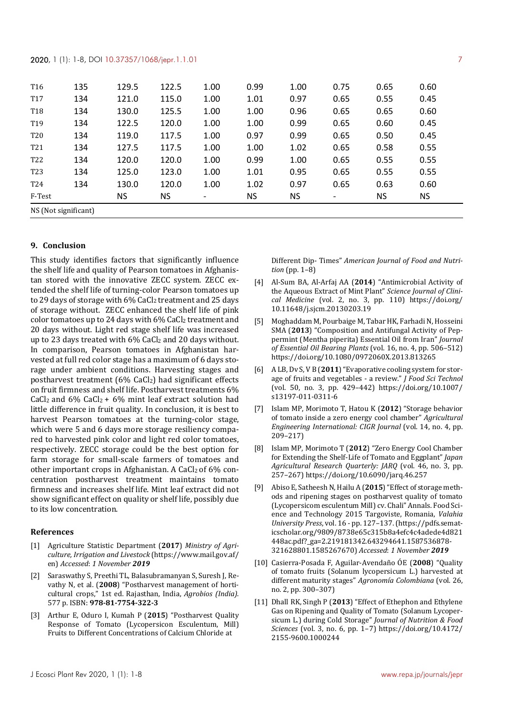### **2020**, 1 (1): 1-8, DOI 10.37357/1068/jepr.1.1.01 7

| T <sub>16</sub>      | 135 | 129.5     | 122.5     | 1.00                     | 0.99      | 1.00      | 0.75                     | 0.65      | 0.60      |  |
|----------------------|-----|-----------|-----------|--------------------------|-----------|-----------|--------------------------|-----------|-----------|--|
| T <sub>17</sub>      | 134 | 121.0     | 115.0     | 1.00                     | 1.01      | 0.97      | 0.65                     | 0.55      | 0.45      |  |
| T <sub>18</sub>      | 134 | 130.0     | 125.5     | 1.00                     | 1.00      | 0.96      | 0.65                     | 0.65      | 0.60      |  |
| T <sub>19</sub>      | 134 | 122.5     | 120.0     | 1.00                     | 1.00      | 0.99      | 0.65                     | 0.60      | 0.45      |  |
| <b>T20</b>           | 134 | 119.0     | 117.5     | 1.00                     | 0.97      | 0.99      | 0.65                     | 0.50      | 0.45      |  |
| T <sub>21</sub>      | 134 | 127.5     | 117.5     | 1.00                     | 1.00      | 1.02      | 0.65                     | 0.58      | 0.55      |  |
| T <sub>22</sub>      | 134 | 120.0     | 120.0     | 1.00                     | 0.99      | 1.00      | 0.65                     | 0.55      | 0.55      |  |
| T <sub>23</sub>      | 134 | 125.0     | 123.0     | 1.00                     | 1.01      | 0.95      | 0.65                     | 0.55      | 0.55      |  |
| T24                  | 134 | 130.0     | 120.0     | 1.00                     | 1.02      | 0.97      | 0.65                     | 0.63      | 0.60      |  |
| F-Test               |     | <b>NS</b> | <b>NS</b> | $\overline{\phantom{a}}$ | <b>NS</b> | <b>NS</b> | $\overline{\phantom{a}}$ | <b>NS</b> | <b>NS</b> |  |
| NS (Not significant) |     |           |           |                          |           |           |                          |           |           |  |

## **9. Conclusion**

This study identifies factors that significantly influence the shelf life and quality of Pearson tomatoes in Afghanistan stored with the innovative ZECC system. ZECC extended the shelf life of turning-color Pearson tomatoes up to 29 days of storage with  $6\%$  CaCl<sub>2</sub> treatment and 25 days of storage without. ZECC enhanced the shelf life of pink color tomatoes up to 24 days with 6% CaCl2 treatment and 20 days without. Light red stage shelf life was increased up to 23 days treated with 6% CaCl2 and 20 days without. In comparison, Pearson tomatoes in Afghanistan harvested at full red color stage has a maximum of 6 days storage under ambient conditions. Harvesting stages and postharvest treatment (6% CaCl2) had significant effects on fruit firmness and shelf life. Postharvest treatments 6% CaCl<sub>2</sub> and 6% CaCl<sub>2</sub> + 6% mint leaf extract solution had little difference in fruit quality. In conclusion, it is best to harvest Pearson tomatoes at the turning-color stage, which were 5 and 6 days more storage resiliency compared to harvested pink color and light red color tomatoes, respectively. ZECC storage could be the best option for farm storage for small-scale farmers of tomatoes and other important crops in Afghanistan. A CaCl2 of 6% concentration postharvest treatment maintains tomato firmness and increases shelf life. Mint leaf extract did not show significant effect on quality or shelf life, possibly due to its low concentration.

#### **References**

- [1] Agriculture Statistic Department (**2017**) *Ministry of Agriculture, Irrigation and Livestock* (https://www.mail.gov.af/ en) *Accessed*: *1 November 2019*
- [2] Saraswathy S, Preethi TL, Balasubramanyan S, Suresh J, Revathy N, et al. (**2008**) "Postharvest management of horticultural crops," 1st ed. Rajasthan, India, *Agrobios (India)*. 577 p. ISBN: **978-81-7754-322-3**
- [3] Arthur E, Oduro I, Kumah P (**2015**) "Postharvest Quality Response of Tomato (Lycopersicon Esculentum, Mill) Fruits to Different Concentrations of Calcium Chloride at

Different Dip- Times" *American Journal of Food and Nutrition* (pp. 1–8)

- [4] Al-Sum BA, Al-Arfaj AA (**2014**) "Antimicrobial Activity of the Aqueous Extract of Mint Plant" *Science Journal of Clinical Medicine* (vol. 2, no. 3, pp. 110) https://doi.org/ 10.11648/j.sjcm.20130203.19
- [5] Moghaddam M, Pourbaige M, Tabar HK, Farhadi N, Hosseini SMA (**2013**) "Composition and Antifungal Activity of Peppermint (Mentha piperita) Essential Oil from Iran" *Journal of Essential Oil Bearing Plants* (vol. 16, no. 4, pp. 506–512) https://doi.org/10.1080/0972060X.2013.813265
- [6] A LB, Dv S, V B (**2011**) "Evaporative cooling system for storage of fruits and vegetables - a review." *J Food Sci Technol* (vol. 50, no. 3, pp. 429–442) https://doi.org/10.1007/ s13197-011-0311-6
- [7] Islam MP, Morimoto T, Hatou K (**2012**) "Storage behavior of tomato inside a zero energy cool chamber" *Agricultural Engineering International: CIGR Journal* (vol. 14, no. 4, pp. 209–217)
- [8] Islam MP, Morimoto T (**2012**) "Zero Energy Cool Chamber for Extending the Shelf-Life of Tomato and Eggplant" *Japan Agricultural Research Quarterly: JARQ* (vol. 46, no. 3, pp. 257–267) https://doi.org/10.6090/jarq.46.257
- [9] Abiso E, Satheesh N, Hailu A (**2015**) "Effect of storage methods and ripening stages on postharvest quality of tomato (Lycopersicom esculentum Mill) cv. Chali" Annals. Food Science and Technology 2015 Targoviste, Romania, *Valahia University Press*, vol. 16 - pp. 127–137. (https://pdfs.sematicscholar.org/9809/8738e65c315b8a4efc4c4adede4d821 448ac.pdf?\_ga=2.219181342.643294641.1587536878- 321628801.1585267670) *Accessed*: *1 November 2019*
- [10] Casierra-Posada F, Aguilar-Avendaño ÓE (**2008**) "Quality of tomato fruits (Solanum lycopersicum L.) harvested at different maturity stages" *Agronomía Colombiana* (vol. 26, no. 2, pp. 300–307)
- [11] Dhall RK, Singh P (**2013**) "Effect of Ethephon and Ethylene Gas on Ripening and Quality of Tomato (Solanum Lycopersicum L.) during Cold Storage" *Journal of Nutrition & Food Sciences* (vol. 3, no. 6, pp. 1–7) https://doi.org/10.4172/ 2155-9600.1000244